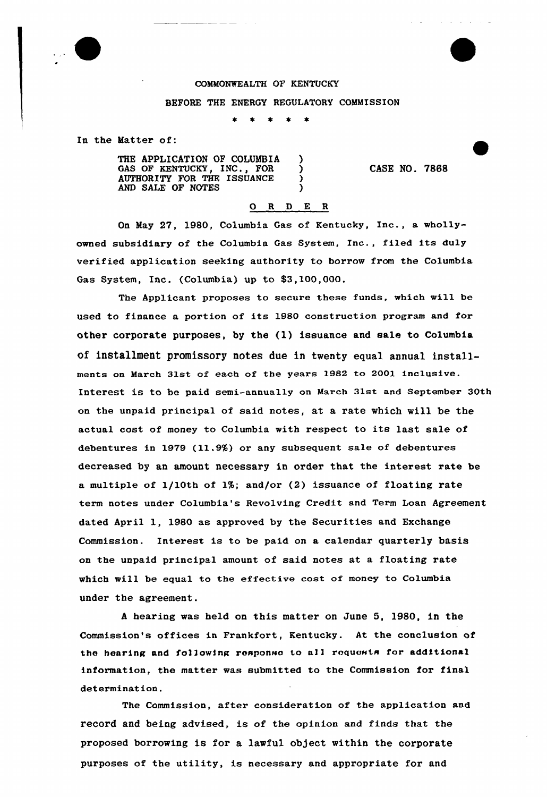

## COMMONWEALTH OF KENTUCKY

BEFORE THE ENERGY REGULATORY COMMISSION

In the Matter of:

THE APPLICATION OF COLUMBIA )<br>GAS OF KENTUCKY, INC., FOR GAS OF KENTUCKY, INC., FOR  $\bigcup_{\text{AITHORITY}}$  for the ISSUANCE AUTHORITY FOR THE ISSUANCE ) AND SALE OF NOTES

CASE NO. 7868

## 0 <sup>R</sup> <sup>D</sup> E <sup>R</sup>

On May 27, 1980, Columbia Gas of Kentucky, Inc., a whollyowned subsidiary of the Columbia Gas System, Inc., filed its duly verified application seeking authority to borrow from the Columbia Gas System, Inc. (Columbia) up to \$3,100,000.

The Applicant proposes to secure these funds, which will be used to finance a portion of its 1980 construction program and for other corporate purposes, by the  $(1)$  issuance and sale to Columbia of installment promissory notes due in twenty equal annual installments on March 31st of each of the years 1982 to 2001 inclusive. Interest is to be paid semi-annually on March 31st and September 30th on the unpaid principal of said notes, at a rate which will be the actual cost of money to Columbia with respect to its last sale of debentures in 1979 (11.9%) or any subsequent sale of debentures decreased by an amount necessary in order that the interest rate be a multiple of 1/10th of 1%; and/or {2) issuance of floating rate term notes under Columbia's Revolving Credit and Term Loan Agreement dated April 1, 1980 as approved by the Securities and Exchange Commission. Interest is to be paid on a calendar quarterly basis on the unpaid principal amount of said notes at a floating rate which will be equal to the effective cost of money to Columbia under the agreement.

<sup>A</sup> hearing was held on this matter on June 5, 1980, in the Commission's offices in Frankfort, Kentucky. At the conclusion of the hearing and following response to all requests for additional information, the matter was submitted to the Commission for final determination.

The Commission, after consideration of the application and record and being advised, is of the opinion and finds that the proposed borrowing is for a lawful object within the corporate purposes of the utility, is necessary and appropriate for and